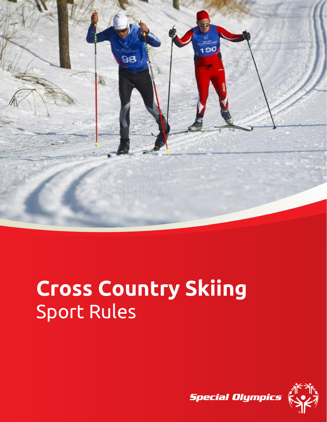

# **Cross Country Skiing** Sport Rules

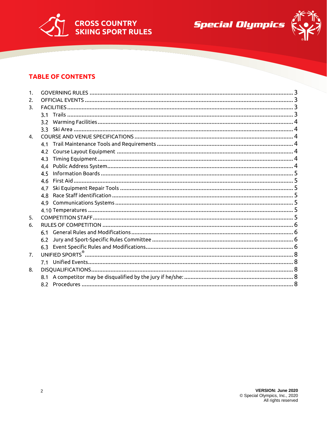



## **TABLE OF CONTENTS**

| 1.             |     |  |
|----------------|-----|--|
| 2.             |     |  |
| 3.             |     |  |
|                |     |  |
|                |     |  |
|                |     |  |
| $\mathbf{4}$ . |     |  |
|                | 4.1 |  |
|                | 4.2 |  |
|                | 4.3 |  |
|                | 4.4 |  |
|                | 4.5 |  |
|                | 4.6 |  |
|                | 4.7 |  |
|                | 4 R |  |
|                | 4.9 |  |
|                |     |  |
| 5.             |     |  |
| 6.             |     |  |
|                | 6.1 |  |
|                | 6.2 |  |
|                |     |  |
| 7.             |     |  |
|                |     |  |
| 8.             |     |  |
|                |     |  |
|                |     |  |
|                |     |  |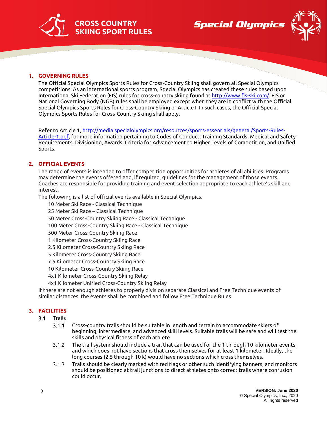





#### <span id="page-2-0"></span>**1. GOVERNING RULES**

The Official Special Olympics Sports Rules for Cross-Country Skiing shall govern all Special Olympics competitions. As an international sports program, Special Olympics has created these rules based upon International Ski Federation (FIS) rules for cross-country skiing found a[t http://www.fis-ski.com/.](http://www.fis-ski.com/) FIS or National Governing Body (NGB) rules shall be employed except when they are in conflict with the Official Special Olympics Sports Rules for Cross-Country Skiing or Article I. In such cases, the Official Special Olympics Sports Rules for Cross-Country Skiing shall apply.

Refer to Article 1[, http://media.specialolympics.org/resources/sports-essentials/general/Sports-Rules-](http://media.specialolympics.org/resources/sports-essentials/general/Sports-Rules-Article-1.pdf)[Article-1.pdf,](http://media.specialolympics.org/resources/sports-essentials/general/Sports-Rules-Article-1.pdf) for more information pertaining to Codes of Conduct, Training Standards, Medical and Safety Requirements, Divisioning, Awards, Criteria for Advancement to Higher Levels of Competition, and Unified Sports.

#### <span id="page-2-1"></span>**2. OFFICIAL EVENTS**

The range of events is intended to offer competition opportunities for athletes of all abilities. Programs may determine the events offered and, if required, guidelines for the management of those events. Coaches are responsible for providing training and event selection appropriate to each athlete's skill and interest.

The following is a list of official events available in Special Olympics.

10 Meter Ski Race - Classical Technique

25 Meter Ski Race – Classical Technique

50 Meter Cross-Country Skiing Race - Classical Technique

100 Meter Cross-Country Skiing Race - Classical Technique

500 Meter Cross-Country Skiing Race

1 Kilometer Cross-Country Skiing Race

2.5 Kilometer Cross-Country Skiing Race

5 Kilometer Cross-Country Skiing Race

7.5 Kilometer Cross-Country Skiing Race

10 Kilometer Cross-Country Skiing Race

4x1 Kilometer Cross-Country Skiing Relay

4x1 Kilometer Unified Cross-Country Skiing Relay

If there are not enough athletes to properly division separate Classical and Free Technique events of similar distances, the events shall be combined and follow Free Technique Rules.

### <span id="page-2-3"></span><span id="page-2-2"></span>**3. FACILITIES**

- $3.1$ Trails
	- $3.1.1$ Cross-country trails should be suitable in length and terrain to accommodate skiers of beginning, intermediate, and advanced skill levels. Suitable trails will be safe and will test the skills and physical fitness of each athlete.
	- $3.1.2$ The trail system should include a trail that can be used for the 1 through 10 kilometer events, and which does not have sections that cross themselves for at least 1 kilometer. Ideally, the long courses (2.5 through 10 k) would have no sections which cross themselves.
	- Trails should be clearly marked with red flags or other such identifying banners, and monitors  $3.1.3$ should be positioned at trail junctions to direct athletes onto correct trails where confusion could occur.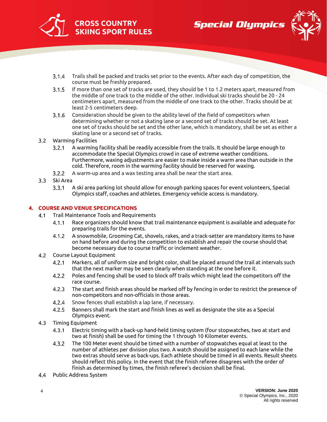





- $3.1.4$ Trails shall be packed and tracks set prior to the events. After each day of competition, the course must be freshly prepared.
- $3.1.5$ If more than one set of tracks are used, they should be 1 to 1.2 meters apart, measured from the middle of one track to the middle of the other. Individual ski tracks should be 20 - 24 centimeters apart, measured from the middle of one track to the other. Tracks should be at least 2-5 centimeters deep.
- $3.1.6$ Consideration should be given to the ability level of the field of competitors when determining whether or not a skating lane or a second set of tracks should be set. At least one set of tracks should be set and the other lane, which is mandatory, shall be set as either a skating lane or a second set of tracks.
- <span id="page-3-0"></span>Warming Facilities
	- $3.2.1$ A warming facility shall be readily accessible from the trails. It should be large enough to accommodate the Special Olympics crowd in case of extreme weather conditions. Furthermore, waxing adjustments are easier to make inside a warm area than outside in the cold. Therefore, room in the warming facility should be reserved for waxing.
	- $3.2.2$ A warm-up area and a wax testing area shall be near the start area.
- <span id="page-3-1"></span>3.3 Ski Area
	- $3.3.1$ A ski area parking lot should allow for enough parking spaces for event volunteers, Special Olympics staff, coaches and athletes. Emergency vehicle access is mandatory.

#### <span id="page-3-3"></span><span id="page-3-2"></span>**4. COURSE AND VENUE SPECIFICATIONS**

- $4.1$ Trail Maintenance Tools and Requirements
	- $4.1.1$ Race organizers should know that trail maintenance equipment is available and adequate for preparing trails for the events.
	- $4.1.2$ A snowmobile, Grooming Cat, shovels, rakes, and a track-setter are mandatory items to have on hand before and during the competition to establish and repair the course should that become necessary due to course traffic or inclement weather.
- <span id="page-3-4"></span> $4.2$ Course Layout Equipment
	- $4.2.1$ Markers, all of uniform size and bright color, shall be placed around the trail at intervals such that the next marker may be seen clearly when standing at the one before it.
	- $4.2.2$ Poles and fencing shall be used to block off trails which might lead the competitors off the race course.
	- $4.2.3$ The start and finish areas should be marked off by fencing in order to restrict the presence of non-competitors and non-officials in those areas.
	- $4.2.4$ Snow fences shall establish a lap lane, if necessary.
	- $4.2.5$ Banners shall mark the start and finish lines as well as designate the site as a Special Olympics event.
- <span id="page-3-5"></span> $4.3$ Timing Equipment
	- $4.3.1$ Electric timing with a back-up hand-held timing system (four stopwatches, two at start and two at finish) shall be used for timing the 1 through 10 Kilometer events.
	- $4.3.2$ The 100 Meter event should be timed with a number of stopwatches equal at least to the number of athletes per division plus two. A watch should be assigned to each lane while the two extras should serve as back-ups. Each athlete should be timed in all events. Result sheets should reflect this policy. In the event that the finish referee disagrees with the order of finish as determined by times, the finish referee's decision shall be final.
- <span id="page-3-6"></span>4.4 Public Address System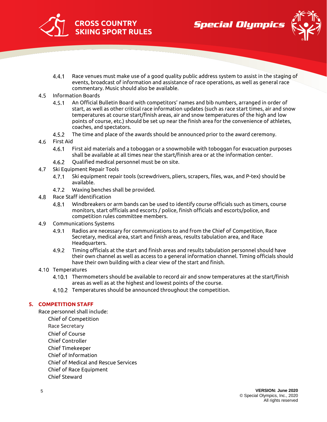





- $4.4.1$ Race venues must make use of a good quality public address system to assist in the staging of events, broadcast of information and assistance of race operations, as well as general race commentary. Music should also be available.
- <span id="page-4-0"></span> $4.5$ Information Boards
	- $4.5.1$ An Official Bulletin Board with competitors' names and bib numbers, arranged in order of start, as well as other critical race information updates (such as race start times, air and snow temperatures at course start/finish areas, air and snow temperatures of the high and low points of course, etc.) should be set up near the finish area for the convenience of athletes, coaches, and spectators.
	- $4.5.2$ The time and place of the awards should be announced prior to the award ceremony.
- <span id="page-4-1"></span> $4.6$ First Aid
	- $4.6.1$ First aid materials and a toboggan or a snowmobile with toboggan for evacuation purposes shall be available at all times near the start/finish area or at the information center.
	- $4.6.2$ Qualified medical personnel must be on site.
- <span id="page-4-2"></span> $4.7$ Ski Equipment Repair Tools
	- $4.7.1$ Ski equipment repair tools (screwdrivers, pliers, scrapers, files, wax, and P-tex) should be available.
	- $4.7.2$ Waxing benches shall be provided.
- <span id="page-4-3"></span>4.8 Race Staff identification
	- 4.8.1 Windbreakers or arm bands can be used to identify course officials such as timers, course monitors, start officials and escorts / police, finish officials and escorts/police, and competition rules committee members.
- <span id="page-4-4"></span>4.9 Communications Systems
	- Radios are necessary for communications to and from the Chief of Competition, Race 4.9.1 Secretary, medical area, start and finish areas, results tabulation area, and Race Headquarters.
	- Timing officials at the start and finish areas and results tabulation personnel should have  $4.9.2$ their own channel as well as access to a general information channel. Timing officials should have their own building with a clear view of the start and finish.

#### <span id="page-4-5"></span>4.10 Temperatures

- 4.10.1 Thermometers should be available to record air and snow temperatures at the start/finish areas as well as at the highest and lowest points of the course.
- 4.10.2 Temperatures should be announced throughout the competition.

#### <span id="page-4-6"></span>**5. COMPETITION STAFF**

Race personnel shall include: Chief of Competition Race Secretary Chief of Course Chief Controller Chief Timekeeper Chief of Information Chief of Medical and Rescue Services Chief of Race Equipment Chief Steward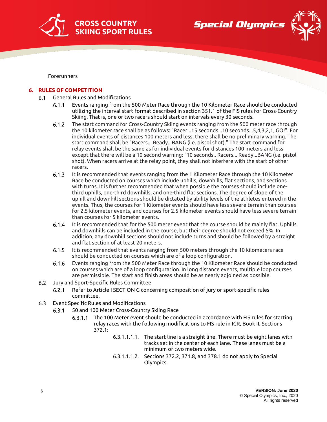

**Special Olympics** 



Forerunners

#### <span id="page-5-1"></span><span id="page-5-0"></span>**6. RULES OF COMPETITION**

- General Rules and Modifications  $6.1$ 
	- $6.1.1$ Events ranging from the 500 Meter Race through the 10 Kilometer Race should be conducted utilizing the interval start format described in section 351.1 of the FIS rules for Cross-Country Skiing. That is, one or two racers should start on intervals every 30 seconds.
	- $6.1.2$ The start command for Cross-Country Skiing events ranging from the 500 meter race through the 10 kilometer race shall be as follows: "Racer...15 seconds...10 seconds...5,4,3,2,1, GO!". For individual events of distances 100 meters and less, there shall be no preliminary warning. The start command shall be "Racers... Ready...BANG (i.e. pistol shot)." The start command for relay events shall be the same as for individual events for distances 100 meters and less except that there will be a 10 second warning: "10 seconds.. Racers... Ready...BANG (i.e. pistol shot). When racers arrive at the relay point, they shall not interfere with the start of other racers.
	- $6.1.3$ It is recommended that events ranging from the 1 Kilometer Race through the 10 Kilometer Race be conducted on courses which include uphills, downhills, flat sections, and sections with turns. It is further recommended that when possible the courses should include onethird uphills, one-third downhills, and one-third flat sections. The degree of slope of the uphill and downhill sections should be dictated by ability levels of the athletes entered in the events. Thus, the courses for 1 Kilometer events should have less severe terrain than courses for 2.5 kilometer events, and courses for 2.5 kilometer events should have less severe terrain than courses for 5 kilometer events.
	- $6.1.4$ It is recommended that for the 500 meter event that the course should be mainly flat. Uphills and downhills can be included in the course, but their degree should not exceed 5%. In addition, any downhill sections should not include turns and should be followed by a straight and flat section of at least 20 meters.
	- It is recommended that events ranging from 500 meters through the 10 kilometers race  $6.1.5$ should be conducted on courses which are of a loop configuration.
	- $6.1.6$ Events ranging from the 500 Meter Race through the 10 Kilometer Race should be conducted on courses which are of a loop configuration. In long distance events, multiple loop courses are permissible. The start and finish areas should be as nearly adjoined as possible.
- <span id="page-5-2"></span> $6.2$ Jury and Sport-Specific Rules Committee
	- $6.2.1$ Refer to Article I SECTION G concerning composition of jury or sport-specific rules committee.
- <span id="page-5-3"></span> $6.3$ Event Specific Rules and Modifications
	- 50 and 100 Meter Cross-Country Skiing Race  $6.3.1$ 
		- 6.3.1.1 The 100 Meter event should be conducted in accordance with FIS rules for starting relay races with the following modifications to FIS rule in ICR, Book II, Sections 372.1:
			- 6.3.1.1.1.1. The start line is a straight line. There must be eight lanes with tracks set in the center of each lane. These lanes must be a minimum of two meters wide.
			- 6.3.1.1.1.2. Sections 372.2, 371.8, and 378.1 do not apply to Special Olympics.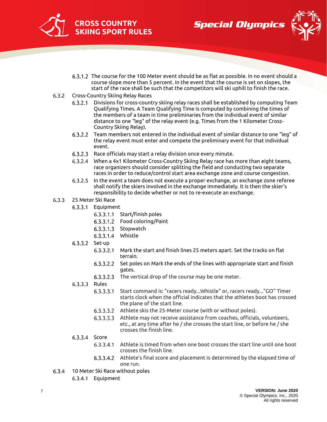





- 6.3.1.2 The course for the 100 Meter event should be as flat as possible. In no event should a course slope more than 5 percent. In the event that the course is set on slopes, the start of the race shall be such that the competitors will ski uphill to finish the race.
- $6.3.2$ Cross-Country Skiing Relay Races
	- Divisions for cross-country skiing relay races shall be established by computing Team  $6.3.2.1$ Qualifying Times. A Team Qualifying Time is computed by combining the times of the members of a team in time preliminaries from the individual event of similar distance to one "leg" of the relay event (e.g. Times from the 1 Kilometer Cross-Country Skiing Relay).
	- Team members not entered in the individual event of similar distance to one "leg" of  $6.3.2.2$ the relay event must enter and compete the preliminary event for that individual event.
	- 6.3.2.3 Race officials may start a relay division once every minute.
	- When a 4x1 Kilometer Cross-Country Skiing Relay race has more than eight teams, race organizers should consider splitting the field and conducting two separate races in order to reduce/control start area exchange zone and course congestion.
	- In the event a team does not execute a proper exchange, an exchange zone referee  $6.3.2.5$ shall notify the skiers involved in the exchange immediately. It is then the skier's responsibility to decide whether or not to re-execute an exchange.
- $6.3.3$ 25 Meter Ski Race
	- 6.3.3.1 Equipment
		- 6.3.3.1.1 Start/finish poles
		- 6.3.3.1.2 Food coloring/Paint
		- 6.3.3.1.3 Stopwatch
		- 6.3.3.1.4 Whistle
	- 6.3.3.2 Set-up
		- $6.3.3.2.1$ Mark the start and finish lines 25 meters apart. Set the tracks on flat terrain.
		- 6.3.3.2.2 Set poles on Mark the ends of the lines with appropriate start and finish gates.
		- $6.3.3.2.3$ The vertical drop of the course may be one meter.
	- 6.3.3.3 Rules
		- $6.3.3.3.1$ Start command is: "racers ready...Whistle" or, racers ready..."GO" Timer starts clock when the official indicates that the athletes boot has crossed the plane of the start line.
		- $6.3.3.3.2$ Athlete skis the 25-Meter course (with or without poles).
		- $6.3.3.3.3$ Athlete may not receive assistance from coaches, officials, volunteers, etc., at any time after he / she crosses the start line, or before he / she crosses the finish line.
	- 6.3.3.4 Score
		- Athlete is timed from when one boot crosses the start line until one boot 6.3.3.4.1 crosses the finish line.
		- 6.3.3.4.2 Athlete's final score and placement is determined by the elapsed time of one run.
- $6.3.4$ 10 Meter Ski Race without poles
	- 6.3.4.1 Equipment